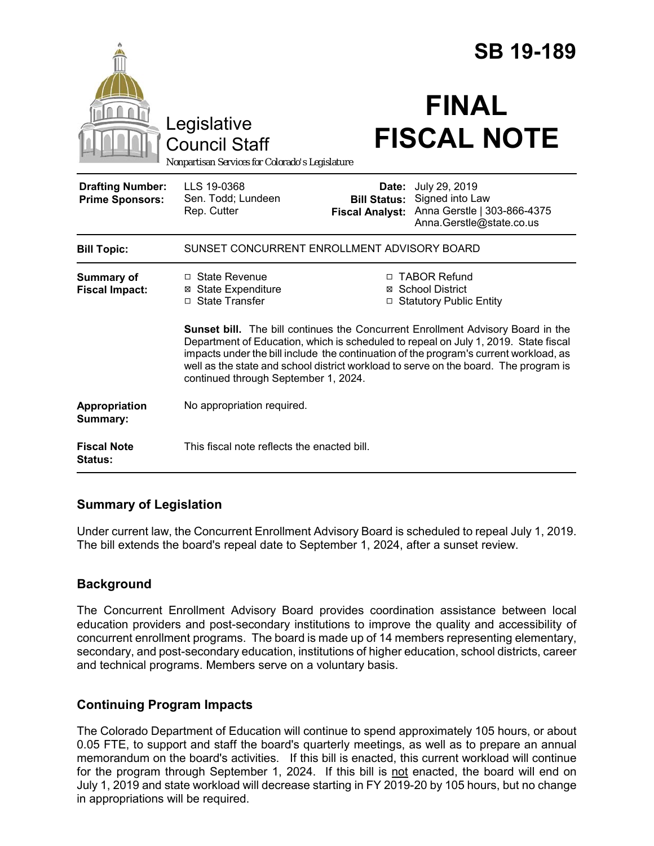|                                                   |                                                                                                                                                                                                                                                                                                                                                                                                                                                                                                                                               |                                               | <b>SB 19-189</b>                                                                                  |
|---------------------------------------------------|-----------------------------------------------------------------------------------------------------------------------------------------------------------------------------------------------------------------------------------------------------------------------------------------------------------------------------------------------------------------------------------------------------------------------------------------------------------------------------------------------------------------------------------------------|-----------------------------------------------|---------------------------------------------------------------------------------------------------|
|                                                   | Legislative<br><b>Council Staff</b><br>Nonpartisan Services for Colorado's Legislature                                                                                                                                                                                                                                                                                                                                                                                                                                                        |                                               | <b>FINAL</b><br><b>FISCAL NOTE</b>                                                                |
| <b>Drafting Number:</b><br><b>Prime Sponsors:</b> | LLS 19-0368<br>Sen. Todd; Lundeen<br>Rep. Cutter                                                                                                                                                                                                                                                                                                                                                                                                                                                                                              | <b>Bill Status:</b><br><b>Fiscal Analyst:</b> | Date: July 29, 2019<br>Signed into Law<br>Anna Gerstle   303-866-4375<br>Anna.Gerstle@state.co.us |
| <b>Bill Topic:</b>                                | SUNSET CONCURRENT ENROLLMENT ADVISORY BOARD                                                                                                                                                                                                                                                                                                                                                                                                                                                                                                   |                                               |                                                                                                   |
| <b>Summary of</b><br><b>Fiscal Impact:</b>        | $\Box$ State Revenue<br>□ TABOR Refund<br><b>⊠</b> State Expenditure<br>⊠ School District<br>□ State Transfer<br>□ Statutory Public Entity<br>Sunset bill. The bill continues the Concurrent Enrollment Advisory Board in the<br>Department of Education, which is scheduled to repeal on July 1, 2019. State fiscal<br>impacts under the bill include the continuation of the program's current workload, as<br>well as the state and school district workload to serve on the board. The program is<br>continued through September 1, 2024. |                                               |                                                                                                   |
| Appropriation<br>Summary:                         | No appropriation required.                                                                                                                                                                                                                                                                                                                                                                                                                                                                                                                    |                                               |                                                                                                   |
| <b>Fiscal Note</b><br>Status:                     | This fiscal note reflects the enacted bill.                                                                                                                                                                                                                                                                                                                                                                                                                                                                                                   |                                               |                                                                                                   |

## **Summary of Legislation**

Under current law, the Concurrent Enrollment Advisory Board is scheduled to repeal July 1, 2019. The bill extends the board's repeal date to September 1, 2024, after a sunset review.

# **Background**

The Concurrent Enrollment Advisory Board provides coordination assistance between local education providers and post-secondary institutions to improve the quality and accessibility of concurrent enrollment programs. The board is made up of 14 members representing elementary, secondary, and post-secondary education, institutions of higher education, school districts, career and technical programs. Members serve on a voluntary basis.

## **Continuing Program Impacts**

The Colorado Department of Education will continue to spend approximately 105 hours, or about 0.05 FTE, to support and staff the board's quarterly meetings, as well as to prepare an annual memorandum on the board's activities. If this bill is enacted, this current workload will continue for the program through September 1, 2024. If this bill is not enacted, the board will end on July 1, 2019 and state workload will decrease starting in FY 2019-20 by 105 hours, but no change in appropriations will be required.